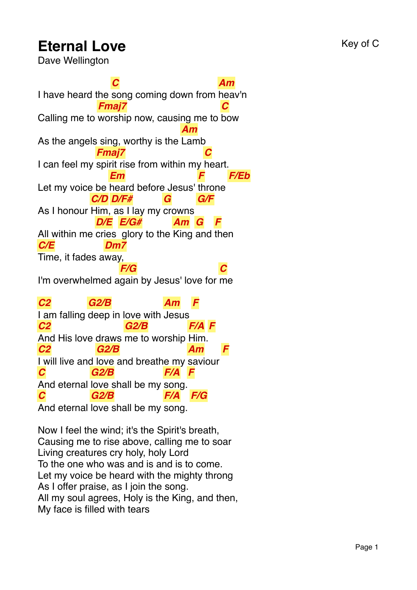## **Eternal Love** Key of C

Dave Wellington

I have heard the song coming down from heav'n *C Am* Calling me to worship now, causing me to bow *Fmaj7 C* As the angels sing, worthy is the Lamb *Am* I can feel my spirit rise from within my heart. *Fmaj7 C* Let my voice be heard before Jesus' throne *Em F F/Eb* As I honour Him, as I lay my crowns *C/D D/F# G G/F* All within me cries glory to the King and then *D/E E/G# Am G F C/E* Time, it fades a way, *Dm7* I'm overwhelmed a gain by Jesus' love for me *F/G C C2* I am falling deep in love with Jesus *G2/B Am F C2* And His love draws me to worship Him. *G2/B F/A F C2* I will live and love and breathe my saviour *G2/B Am F C* And eternal love shall be my song. *G2/B F/A F C G2/B F/A F/G*

And eternal love shall be my song.

Now I feel the wind; it's the Spirit's breath, Causing me to rise above, calling me to soar Living creatures cry holy, holy Lord To the one who was and is and is to come. Let my voice be heard with the mighty throng As I offer praise, as I join the song. All my soul agrees, Holy is the King, and then, My face is filled with tears